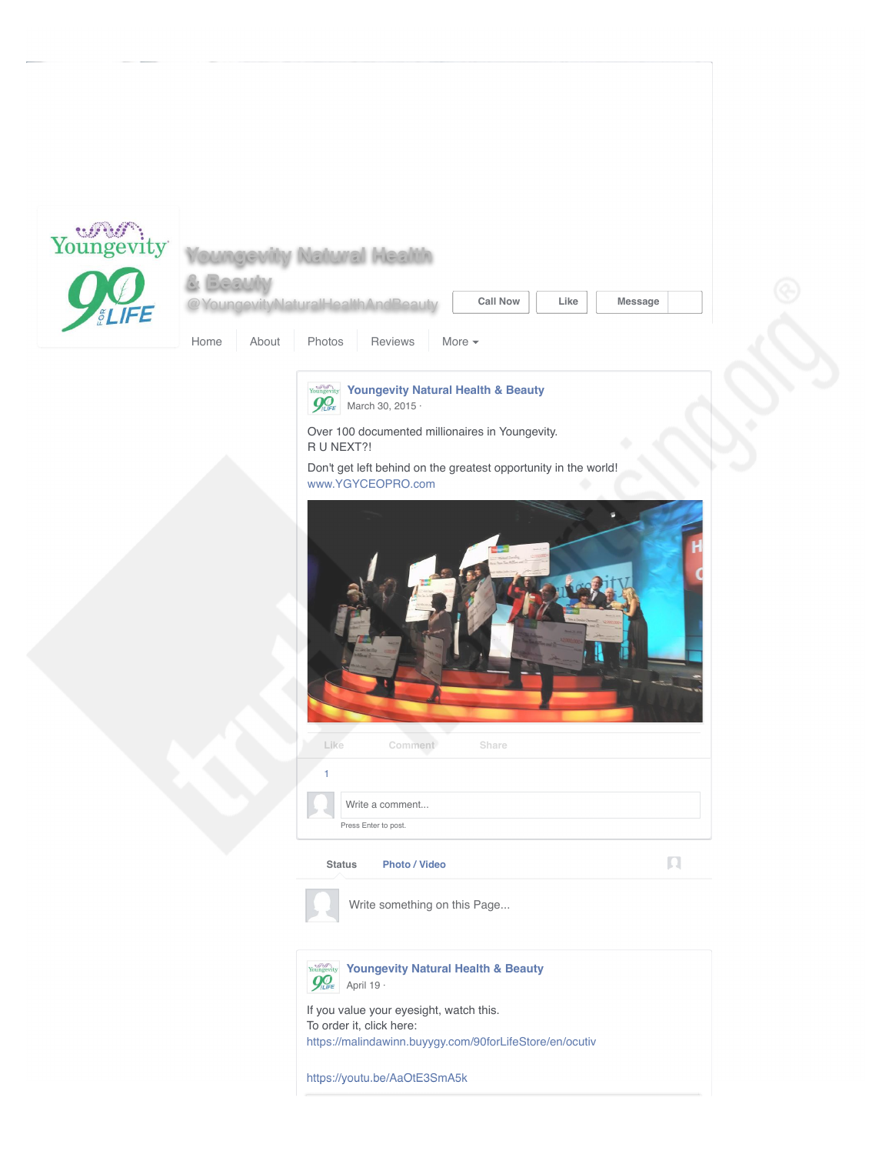

[https://youtu.be/AaOtE3SmA5k](https://www.facebook.com/l.php?u=https%3A%2F%2Fyoutu.be%2FAaOtE3SmA5k&h=pAQEWZupeAQHj3tax7UxL_zU6Ve1jA9AeA9jzzWlXJt6R3w&enc=AZPo6klmJ7dDjuAkoZxM3YhkXJtj6oruwTbLsIRLXtHJi0wmR6q_rroo5TFB5X_Y01Vi1C1bmey90MBVjiZRe94TCRlLqUd6eEK4tRdwwtM--SVR8HEdTJsWVOYcq1Rlk3AiWMgshD3SbrBbTP5bC91_5g6wkfNqv60CFHgF2crrRodvCIoRy1LWkCZTVbMDu_xYi-HLsz2488TxKuwPHsN5&s=1)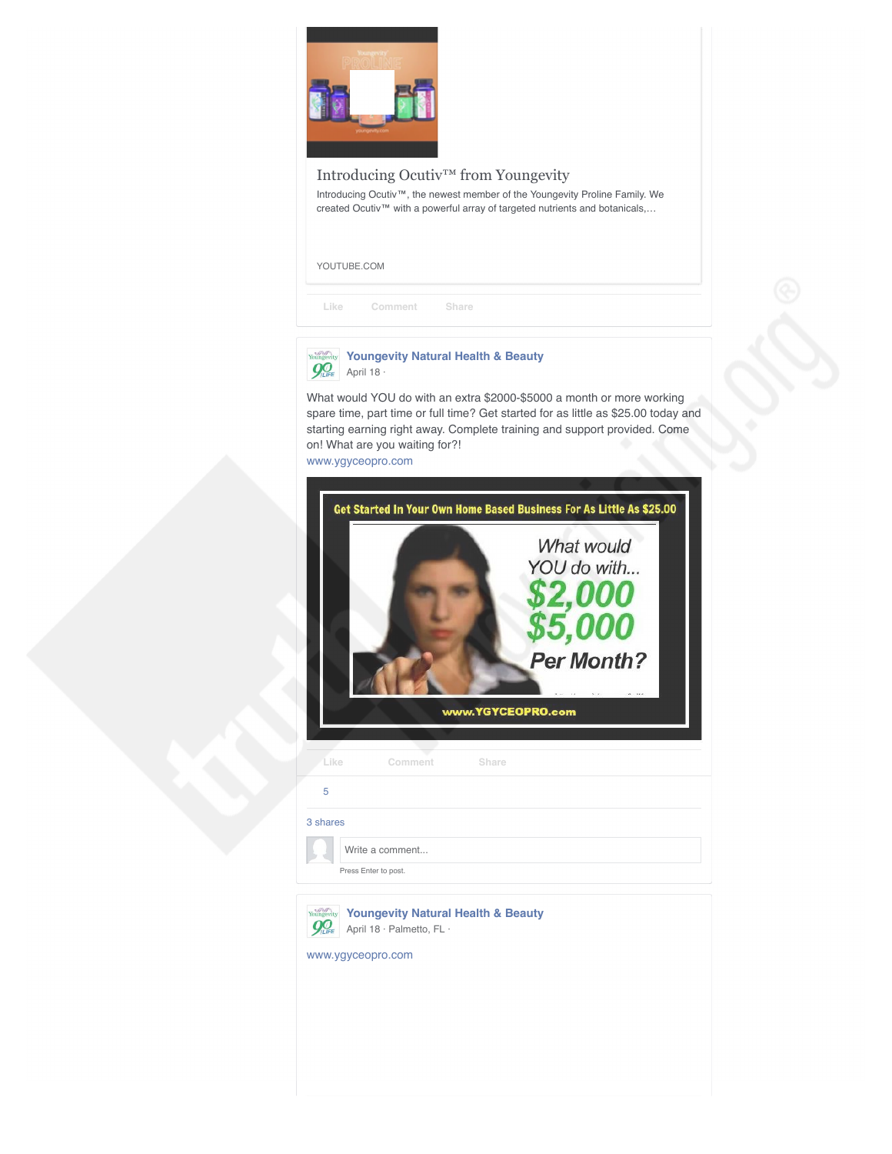

## [Introducing Ocutiv™ from Youngevity](https://www.facebook.com/l.php?u=https%3A%2F%2Fyoutu.be%2FAaOtE3SmA5k&h=UAQHU6hY4&enc=AZMKFXAmEZlmqpQGHq8Kihl3h_tIQWQEvaOjVGin5Qrnv9WAm1hxYkjt7TrrIQ54yoj3bT9YS7apMzTkwAZxr3wxxr8hRwkNur-KaiZ11yXznPpBpaXfcDGaWS_wJjzqFdFtN2Y5Ww51PP6qkzR0R5GjLonjAIGbdmPiNzlow73HfuzshTgTU7CakY27rC8-rJXnQwkLp0az-GayIOszlqOE&s=1)

Introducing Ocutiv™, the newest member of the Youngevity Proline Family. We created Ocutiv™ with a powerful array of targeted nutrients and botanicals,…

YOUTUBE.COM

 **[Comment](https://www.facebook.com/YoungevityNaturalHealthAndBeauty/photos/a.527459907285891.93633165.527438730621342/951698548195356/#) [Share](https://www.facebook.com/YoungevityNaturalHealthAndBeauty/photos/a.527459907285891.93633165.527438730621342/951698548195356/#) [Like](https://www.facebook.com/YoungevityNaturalHealthAndBeauty/photos/a.527459907285891.93633165.527438730621342/951698548195356/#)**

*Youngevity* **[Youngevity Natural Health & Beauty](https://www.facebook.com/YoungevityNaturalHealthAndBeauty/?fref=nf)**  $\mathbf{Q}_{\text{t}\text{t}FE}^{\bigcirc}$  [April 18](https://www.facebook.com/YoungevityNaturalHealthAndBeauty/photos/a.527459907285891.93633165.527438730621342/1162645213767354/?type=3) ·

What would YOU do with an extra \$2000-\$5000 a month or more working spare time, part time or full time? Get started for as little as \$25.00 today and starting earning right away. Complete training and support provided. Come on! What are you waiting for?!

[www.ygyceopro.com](http://l.facebook.com/l.php?u=http%3A%2F%2Fwww.ygyceopro.com%2F&h=9AQFdTuEIAQHOEOePJRBB2InP9fd6unDzNTKt6FicAs8c3w&enc=AZNoFi0x_kDjtUmKbIqVTvYngPd8-nbRVvfmTBDlmflEEcx6f8AC46OgupGTW_paux3IgHG46yu_E7Zth-kCcj-4r8dNl3AiQ0MoatOGkHliwlq0rMepyyY4qSOqWCfredxgrdxvtKVryJOyI3aE1YPJQY3r3gvDgcj1XV6ELZ-k3YLxAswE5Ji4n9Oo-w5zLoFJkV2-DTEeVJoABwIV25lx&s=1)